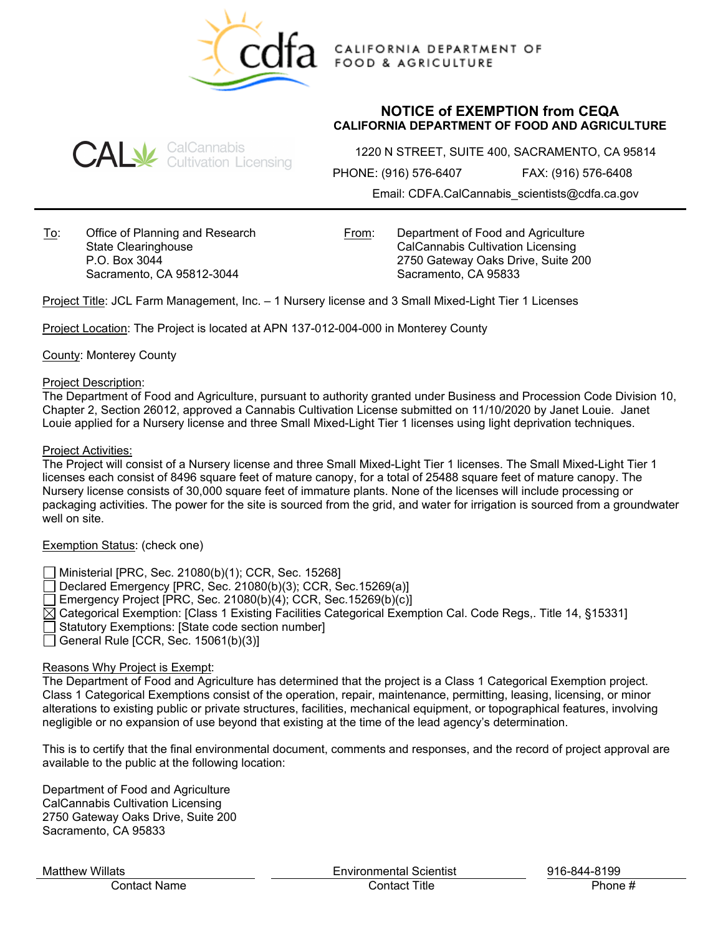

CALIFORNIA DEPARTMENT OF **FOOD & AGRICULTURE** 

# **NOTICE of EXEMPTION from CEQA CALIFORNIA DEPARTMENT OF FOOD AND AGRICULTURE**



1220 N STREET, SUITE 400, SACRAMENTO, CA 95814

PHONE: (916) 576-6407 FAX: (916) 576-6408

Email: CDFA.CalCannabis\_scientists@cdfa.ca.gov

To: Office of Planning and Research State Clearinghouse P.O. Box 3044 Sacramento, CA 95812-3044

From: Department of Food and Agriculture CalCannabis Cultivation Licensing 2750 Gateway Oaks Drive, Suite 200 Sacramento, CA 95833

Project Title: JCL Farm Management, Inc. – 1 Nursery license and 3 Small Mixed-Light Tier 1 Licenses

Project Location: The Project is located at APN 137-012-004-000 in Monterey County

County: Monterey County

#### Project Description:

The Department of Food and Agriculture, pursuant to authority granted under Business and Procession Code Division 10, Chapter 2, Section 26012, approved a Cannabis Cultivation License submitted on 11/10/2020 by Janet Louie. Janet Louie applied for a Nursery license and three Small Mixed-Light Tier 1 licenses using light deprivation techniques.

#### Project Activities:

The Project will consist of a Nursery license and three Small Mixed-Light Tier 1 licenses. The Small Mixed-Light Tier 1 licenses each consist of 8496 square feet of mature canopy, for a total of 25488 square feet of mature canopy. The Nursery license consists of 30,000 square feet of immature plants. None of the licenses will include processing or packaging activities. The power for the site is sourced from the grid, and water for irrigation is sourced from a groundwater well on site.

## Exemption Status: (check one)

- Ministerial [PRC, Sec. 21080(b)(1); CCR, Sec. 15268]
- Declared Emergency [PRC, Sec. 21080(b)(3); CCR, Sec.15269(a)]
- Emergency Project [PRC, Sec. 21080(b)(4); CCR, Sec.15269(b)(c)]
- $\boxtimes$  Categorical Exemption: [Class 1 Existing Facilities Categorical Exemption Cal. Code Regs,. Title 14, §15331]
- Statutory Exemptions: [State code section number]
- General Rule [CCR, Sec.  $15061(b)(3)$ ]

## Reasons Why Project is Exempt:

The Department of Food and Agriculture has determined that the project is a Class 1 Categorical Exemption project. Class 1 Categorical Exemptions consist of the operation, repair, maintenance, permitting, leasing, licensing, or minor alterations to existing public or private structures, facilities, mechanical equipment, or topographical features, involving negligible or no expansion of use beyond that existing at the time of the lead agency's determination.

This is to certify that the final environmental document, comments and responses, and the record of project approval are available to the public at the following location:

Department of Food and Agriculture CalCannabis Cultivation Licensing 2750 Gateway Oaks Drive, Suite 200 Sacramento, CA 95833